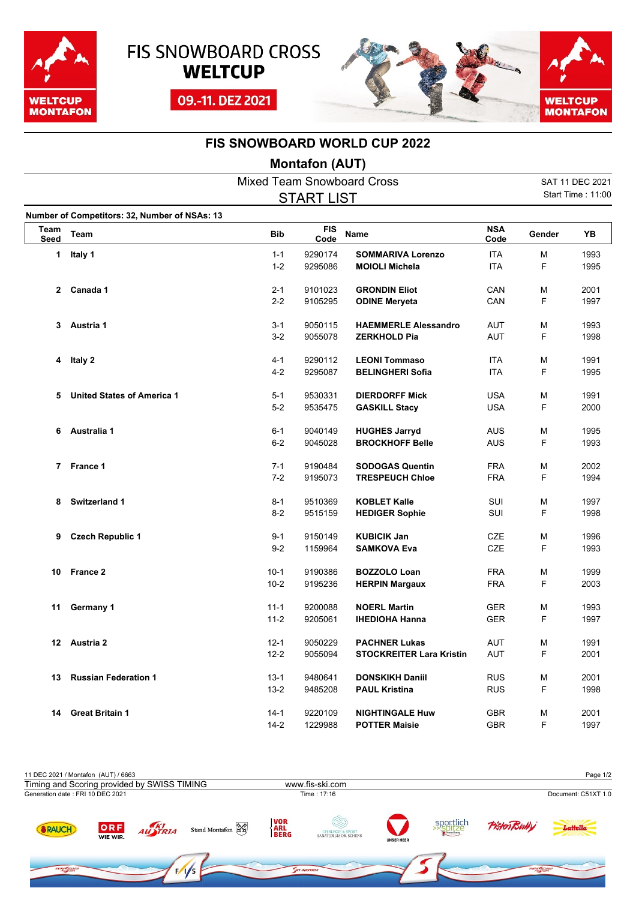





## **FIS SNOWBOARD WORLD CUP 2022**

## **Montafon (AUT)**

|                     | <b>Mixed Team Snowboard Cross</b>             |            |                    |                                 |                    |        |                   |
|---------------------|-----------------------------------------------|------------|--------------------|---------------------------------|--------------------|--------|-------------------|
|                     |                                               |            | <b>START LIST</b>  |                                 |                    |        | Start Time: 11:00 |
|                     | Number of Competitors: 32, Number of NSAs: 13 |            |                    |                                 |                    |        |                   |
| Team<br><b>Seed</b> | Team                                          | <b>Bib</b> | <b>FIS</b><br>Code | <b>Name</b>                     | <b>NSA</b><br>Code | Gender | YB                |
| 1                   | Italy 1                                       | $1 - 1$    | 9290174            | <b>SOMMARIVA Lorenzo</b>        | <b>ITA</b>         | M      | 1993              |
|                     |                                               | $1 - 2$    | 9295086            | <b>MOIOLI Michela</b>           | <b>ITA</b>         | F      | 1995              |
|                     | 2 Canada 1                                    | $2 - 1$    | 9101023            | <b>GRONDIN Eliot</b>            | CAN                | M      | 2001              |
|                     |                                               | $2 - 2$    | 9105295            | <b>ODINE Meryeta</b>            | CAN                | F      | 1997              |
| 3.                  | Austria 1                                     | $3 - 1$    | 9050115            | <b>HAEMMERLE Alessandro</b>     | <b>AUT</b>         | М      | 1993              |
|                     |                                               | $3 - 2$    | 9055078            | <b>ZERKHOLD Pia</b>             | AUT                | F      | 1998              |
| 4                   | Italy 2                                       | $4 - 1$    | 9290112            | <b>LEONI Tommaso</b>            | <b>ITA</b>         | М      | 1991              |
|                     |                                               | $4 - 2$    | 9295087            | <b>BELINGHERI Sofia</b>         | <b>ITA</b>         | F      | 1995              |
| 5                   | <b>United States of America 1</b>             | $5 - 1$    | 9530331            | <b>DIERDORFF Mick</b>           | <b>USA</b>         | М      | 1991              |
|                     |                                               | $5-2$      | 9535475            | <b>GASKILL Stacy</b>            | <b>USA</b>         | F      | 2000              |
| 6                   | Australia 1                                   | $6 - 1$    | 9040149            | <b>HUGHES Jarryd</b>            | <b>AUS</b>         | М      | 1995              |
|                     |                                               | $6-2$      | 9045028            | <b>BROCKHOFF Belle</b>          | AUS                | F      | 1993              |
|                     | 7 France 1                                    | $7-1$      | 9190484            | <b>SODOGAS Quentin</b>          | <b>FRA</b>         | М      | 2002              |
|                     |                                               | $7 - 2$    | 9195073            | <b>TRESPEUCH Chloe</b>          | <b>FRA</b>         | F      | 1994              |
| 8                   | <b>Switzerland 1</b>                          | $8 - 1$    | 9510369            | <b>KOBLET Kalle</b>             | SUI                | М      | 1997              |
|                     |                                               | $8 - 2$    | 9515159            | <b>HEDIGER Sophie</b>           | SUI                | F      | 1998              |
| 9                   | <b>Czech Republic 1</b>                       | $9 - 1$    | 9150149            | <b>KUBICIK Jan</b>              | <b>CZE</b>         | М      | 1996              |
|                     |                                               | $9 - 2$    | 1159964            | <b>SAMKOVA Eva</b>              | CZE                | F      | 1993              |
| 10                  | France 2                                      | $10 - 1$   | 9190386            | <b>BOZZOLO Loan</b>             | <b>FRA</b>         | М      | 1999              |
|                     |                                               | $10 - 2$   | 9195236            | <b>HERPIN Margaux</b>           | <b>FRA</b>         | F      | 2003              |
| 11                  | Germany 1                                     | $11 - 1$   | 9200088            | <b>NOERL Martin</b>             | <b>GER</b>         | М      | 1993              |
|                     |                                               | $11 - 2$   | 9205061            | <b>IHEDIOHA Hanna</b>           | <b>GER</b>         | F      | 1997              |
| 12                  | Austria 2                                     | $12 - 1$   | 9050229            | <b>PACHNER Lukas</b>            | AUT                | М      | 1991              |
|                     |                                               | $12 - 2$   | 9055094            | <b>STOCKREITER Lara Kristin</b> | AUT                | F      | 2001              |
| 13                  | <b>Russian Federation 1</b>                   | $13 - 1$   | 9480641            | <b>DONSKIKH Daniil</b>          | <b>RUS</b>         | М      | 2001              |
|                     |                                               | $13 - 2$   | 9485208            | <b>PAUL Kristina</b>            | <b>RUS</b>         | F      | 1998              |
| 14                  | <b>Great Britain 1</b>                        | $14 - 1$   | 9220109            | <b>NIGHTINGALE Huw</b>          | <b>GBR</b>         | М      | 2001              |
|                     |                                               | $14 - 2$   | 1229988            | <b>POTTER Maisie</b>            | <b>GBR</b>         | F      | 1997              |